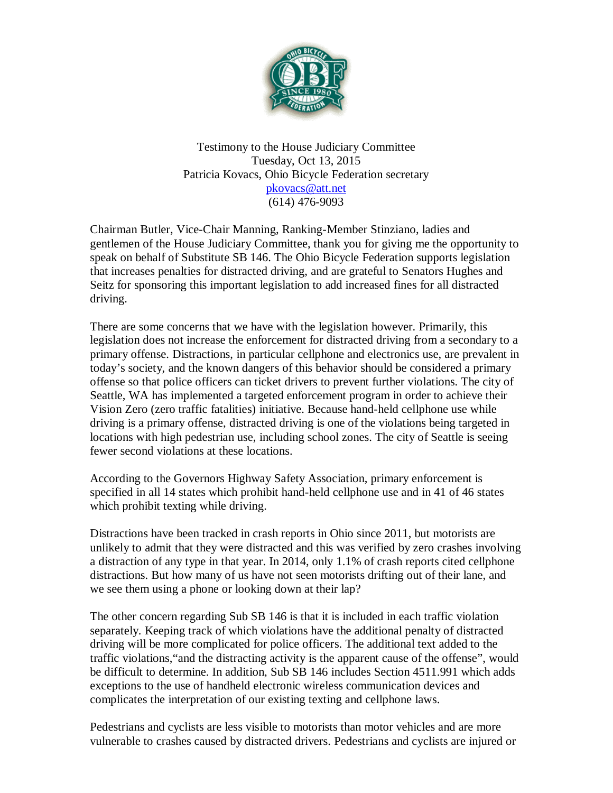

Testimony to the House Judiciary Committee Tuesday, Oct 13, 2015 Patricia Kovacs, Ohio Bicycle Federation secretary [pkovacs@att.net](mailto:pkovacs@att.net) (614) 476-9093

Chairman Butler, Vice-Chair Manning, Ranking-Member Stinziano, ladies and gentlemen of the House Judiciary Committee, thank you for giving me the opportunity to speak on behalf of Substitute SB 146. The Ohio Bicycle Federation supports legislation that increases penalties for distracted driving, and are grateful to Senators Hughes and Seitz for sponsoring this important legislation to add increased fines for all distracted driving.

There are some concerns that we have with the legislation however. Primarily, this legislation does not increase the enforcement for distracted driving from a secondary to a primary offense. Distractions, in particular cellphone and electronics use, are prevalent in today's society, and the known dangers of this behavior should be considered a primary offense so that police officers can ticket drivers to prevent further violations. The city of Seattle, WA has implemented a targeted enforcement program in order to achieve their Vision Zero (zero traffic fatalities) initiative. Because hand-held cellphone use while driving is a primary offense, distracted driving is one of the violations being targeted in locations with high pedestrian use, including school zones. The city of Seattle is seeing fewer second violations at these locations.

According to the Governors Highway Safety Association, primary enforcement is specified in all 14 states which prohibit hand-held cellphone use and in 41 of 46 states which prohibit texting while driving.

Distractions have been tracked in crash reports in Ohio since 2011, but motorists are unlikely to admit that they were distracted and this was verified by zero crashes involving a distraction of any type in that year. In 2014, only 1.1% of crash reports cited cellphone distractions. But how many of us have not seen motorists drifting out of their lane, and we see them using a phone or looking down at their lap?

The other concern regarding Sub SB 146 is that it is included in each traffic violation separately. Keeping track of which violations have the additional penalty of distracted driving will be more complicated for police officers. The additional text added to the traffic violations,"and the distracting activity is the apparent cause of the offense", would be difficult to determine. In addition, Sub SB 146 includes Section 4511.991 which adds exceptions to the use of handheld electronic wireless communication devices and complicates the interpretation of our existing texting and cellphone laws.

Pedestrians and cyclists are less visible to motorists than motor vehicles and are more vulnerable to crashes caused by distracted drivers. Pedestrians and cyclists are injured or